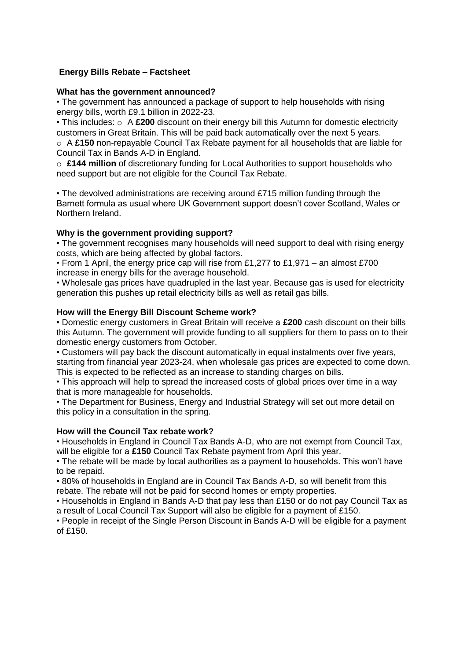# **Energy Bills Rebate – Factsheet**

## **What has the government announced?**

• The government has announced a package of support to help households with rising energy bills, worth £9.1 billion in 2022-23.

• This includes:  $\circ$  A £200 discount on their energy bill this Autumn for domestic electricity customers in Great Britain. This will be paid back automatically over the next 5 years. o A **£150** non-repayable Council Tax Rebate payment for all households that are liable for Council Tax in Bands A-D in England.

o **£144 million** of discretionary funding for Local Authorities to support households who need support but are not eligible for the Council Tax Rebate.

• The devolved administrations are receiving around £715 million funding through the Barnett formula as usual where UK Government support doesn't cover Scotland, Wales or Northern Ireland.

### **Why is the government providing support?**

• The government recognises many households will need support to deal with rising energy costs, which are being affected by global factors.

• From 1 April, the energy price cap will rise from £1,277 to £1,971 – an almost £700 increase in energy bills for the average household.

• Wholesale gas prices have quadrupled in the last year. Because gas is used for electricity generation this pushes up retail electricity bills as well as retail gas bills.

#### **How will the Energy Bill Discount Scheme work?**

• Domestic energy customers in Great Britain will receive a **£200** cash discount on their bills this Autumn. The government will provide funding to all suppliers for them to pass on to their domestic energy customers from October.

• Customers will pay back the discount automatically in equal instalments over five years, starting from financial year 2023-24, when wholesale gas prices are expected to come down. This is expected to be reflected as an increase to standing charges on bills.

• This approach will help to spread the increased costs of global prices over time in a way that is more manageable for households.

• The Department for Business, Energy and Industrial Strategy will set out more detail on this policy in a consultation in the spring.

## **How will the Council Tax rebate work?**

• Households in England in Council Tax Bands A-D, who are not exempt from Council Tax, will be eligible for a **£150** Council Tax Rebate payment from April this year.

• The rebate will be made by local authorities as a payment to households. This won't have to be repaid.

• 80% of households in England are in Council Tax Bands A-D, so will benefit from this rebate. The rebate will not be paid for second homes or empty properties.

• Households in England in Bands A-D that pay less than £150 or do not pay Council Tax as a result of Local Council Tax Support will also be eligible for a payment of £150.

• People in receipt of the Single Person Discount in Bands A-D will be eligible for a payment of  $f150$ .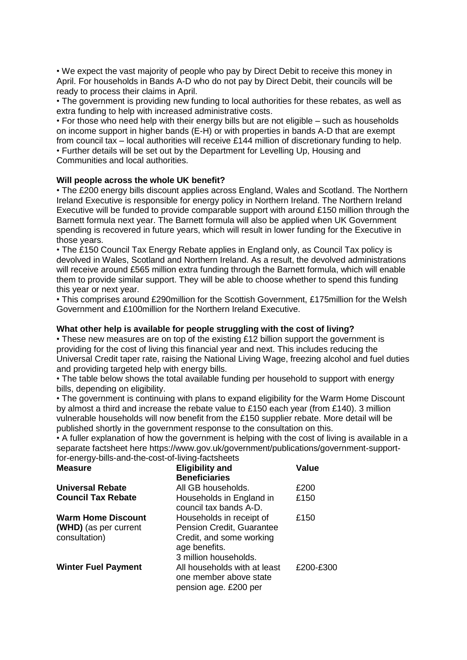• We expect the vast majority of people who pay by Direct Debit to receive this money in April. For households in Bands A-D who do not pay by Direct Debit, their councils will be ready to process their claims in April.

• The government is providing new funding to local authorities for these rebates, as well as extra funding to help with increased administrative costs.

• For those who need help with their energy bills but are not eligible – such as households on income support in higher bands (E-H) or with properties in bands A-D that are exempt from council tax – local authorities will receive £144 million of discretionary funding to help. • Further details will be set out by the Department for Levelling Up, Housing and Communities and local authorities.

### **Will people across the whole UK benefit?**

• The £200 energy bills discount applies across England, Wales and Scotland. The Northern Ireland Executive is responsible for energy policy in Northern Ireland. The Northern Ireland Executive will be funded to provide comparable support with around £150 million through the Barnett formula next year. The Barnett formula will also be applied when UK Government spending is recovered in future years, which will result in lower funding for the Executive in those years.

• The £150 Council Tax Energy Rebate applies in England only, as Council Tax policy is devolved in Wales, Scotland and Northern Ireland. As a result, the devolved administrations will receive around £565 million extra funding through the Barnett formula, which will enable them to provide similar support. They will be able to choose whether to spend this funding this year or next year.

• This comprises around £290million for the Scottish Government, £175million for the Welsh Government and £100million for the Northern Ireland Executive.

### **What other help is available for people struggling with the cost of living?**

• These new measures are on top of the existing £12 billion support the government is providing for the cost of living this financial year and next. This includes reducing the Universal Credit taper rate, raising the National Living Wage, freezing alcohol and fuel duties and providing targeted help with energy bills.

• The table below shows the total available funding per household to support with energy bills, depending on eligibility.

• The government is continuing with plans to expand eligibility for the Warm Home Discount by almost a third and increase the rebate value to £150 each year (from £140). 3 million vulnerable households will now benefit from the £150 supplier rebate. More detail will be published shortly in the government response to the consultation on this.

• A fuller explanation of how the government is helping with the cost of living is available in a separate factsheet here https://www.gov.uk/government/publications/government-supportfor-energy-bills-and-the-cost-of-living-factsheets

| <b>Measure</b>                                                      | <b>Eligibility and</b><br><b>Beneficiaries</b>                                                                              | <b>Value</b> |
|---------------------------------------------------------------------|-----------------------------------------------------------------------------------------------------------------------------|--------------|
| <b>Universal Rebate</b>                                             | All GB households.                                                                                                          | £200         |
| <b>Council Tax Rebate</b>                                           | Households in England in<br>council tax bands A-D.                                                                          | £150         |
| <b>Warm Home Discount</b><br>(WHD) (as per current<br>consultation) | Households in receipt of<br>Pension Credit, Guarantee<br>Credit, and some working<br>age benefits.<br>3 million households. | £150         |
| <b>Winter Fuel Payment</b>                                          | All households with at least<br>one member above state<br>pension age. £200 per                                             | £200-£300    |